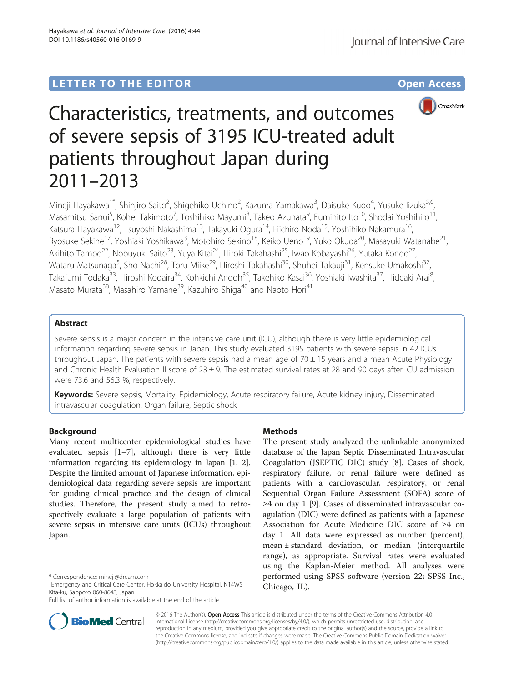## LETTER TO THE EDITOR **CONSIDERATION** CONSIDERING THE STATE AND THE STATE ASSAULT ASSAULT AND THE STATE ASSAULT A



# Characteristics, treatments, and outcomes of severe sepsis of 3195 ICU-treated adult patients throughout Japan during 2011–2013

Mineji Hayakawa<sup>1\*</sup>, Shinjiro Saito<sup>2</sup>, Shigehiko Uchino<sup>2</sup>, Kazuma Yamakawa<sup>3</sup>, Daisuke Kudo<sup>4</sup>, Yusuke Iizuka<sup>5,6</sup>, Masamitsu Sanui<sup>5</sup>, Kohei Takimoto<sup>7</sup>, Toshihiko Mayumi<sup>8</sup>, Takeo Azuhata<sup>9</sup>, Fumihito Ito<sup>10</sup>, Shodai Yoshihiro<sup>11</sup>, Katsura Hayakawa<sup>12</sup>, Tsuyoshi Nakashima<sup>13</sup>, Takayuki Ogura<sup>14</sup>, Eiichiro Noda<sup>15</sup>, Yoshihiko Nakamura<sup>16</sup>, Ryosuke Sekine<sup>17</sup>, Yoshiaki Yoshikawa<sup>3</sup>, Motohiro Sekino<sup>18</sup>, Keiko Ueno<sup>19</sup>, Yuko Okuda<sup>20</sup>, Masayuki Watanabe<sup>21</sup>, Akihito Tampo<sup>22</sup>, Nobuyuki Saito<sup>23</sup>, Yuya Kitai<sup>24</sup>, Hiroki Takahashi<sup>25</sup>, Iwao Kobayashi<sup>26</sup>, Yutaka Kondo<sup>27</sup>, Wataru Matsunaga<sup>5</sup>, Sho Nachi<sup>28</sup>, Toru Miike<sup>29</sup>, Hiroshi Takahashi<sup>30</sup>, Shuhei Takauji<sup>31</sup>, Kensuke Umakoshi<sup>32</sup>, Takafumi Todaka<sup>33</sup>, Hiroshi Kodaira<sup>34</sup>, Kohkichi Andoh<sup>35</sup>, Takehiko Kasai<sup>36</sup>, Yoshiaki Iwashita<sup>37</sup>, Hideaki Arai<sup>8</sup>, , Masato Murata<sup>38</sup>, Masahiro Yamane<sup>39</sup>, Kazuhiro Shiga<sup>40</sup> and Naoto Hori<sup>41</sup>

## Abstract

Severe sepsis is a major concern in the intensive care unit (ICU), although there is very little epidemiological information regarding severe sepsis in Japan. This study evaluated 3195 patients with severe sepsis in 42 ICUs throughout Japan. The patients with severe sepsis had a mean age of  $70 \pm 15$  years and a mean Acute Physiology and Chronic Health Evaluation II score of  $23 \pm 9$ . The estimated survival rates at 28 and 90 days after ICU admission were 73.6 and 56.3 %, respectively.

Keywords: Severe sepsis, Mortality, Epidemiology, Acute respiratory failure, Acute kidney injury, Disseminated intravascular coagulation, Organ failure, Septic shock

## Background

Many recent multicenter epidemiological studies have evaluated sepsis [[1](#page-3-0)–[7\]](#page-3-0), although there is very little information regarding its epidemiology in Japan [[1, 2](#page-3-0)]. Despite the limited amount of Japanese information, epidemiological data regarding severe sepsis are important for guiding clinical practice and the design of clinical studies. Therefore, the present study aimed to retrospectively evaluate a large population of patients with severe sepsis in intensive care units (ICUs) throughout Japan.



The present study analyzed the unlinkable anonymized database of the Japan Septic Disseminated Intravascular Coagulation (JSEPTIC DIC) study [\[8](#page-3-0)]. Cases of shock, respiratory failure, or renal failure were defined as patients with a cardiovascular, respiratory, or renal Sequential Organ Failure Assessment (SOFA) score of ≥4 on day 1 [[9](#page-3-0)]. Cases of disseminated intravascular coagulation (DIC) were defined as patients with a Japanese Association for Acute Medicine DIC score of ≥4 on day 1. All data were expressed as number (percent), mean ± standard deviation, or median (interquartile range), as appropriate. Survival rates were evaluated using the Kaplan-Meier method. All analyses were performed using SPSS software (version 22; SPSS Inc., Chicago, IL).



© 2016 The Author(s). Open Access This article is distributed under the terms of the Creative Commons Attribution 4.0 International License [\(http://creativecommons.org/licenses/by/4.0/](http://creativecommons.org/licenses/by/4.0/)), which permits unrestricted use, distribution, and reproduction in any medium, provided you give appropriate credit to the original author(s) and the source, provide a link to the Creative Commons license, and indicate if changes were made. The Creative Commons Public Domain Dedication waiver [\(http://creativecommons.org/publicdomain/zero/1.0/](http://creativecommons.org/publicdomain/zero/1.0/)) applies to the data made available in this article, unless otherwise stated.

<sup>\*</sup> Correspondence: [mineji@dream.com](mailto:mineji@dream.com) <sup>1</sup>

<sup>&</sup>lt;sup>1</sup> Emergency and Critical Care Center, Hokkaido University Hospital, N14W5 Kita-ku, Sapporo 060-8648, Japan

Full list of author information is available at the end of the article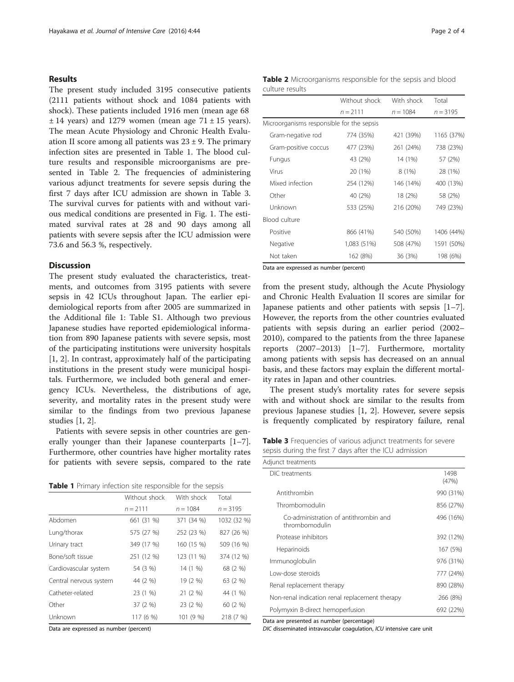#### Results

The present study included 3195 consecutive patients (2111 patients without shock and 1084 patients with shock). These patients included 1916 men (mean age 68  $\pm$  14 years) and 1279 women (mean age 71  $\pm$  15 years). The mean Acute Physiology and Chronic Health Evaluation II score among all patients was  $23 \pm 9$ . The primary infection sites are presented in Table 1. The blood culture results and responsible microorganisms are presented in Table 2. The frequencies of administering various adjunct treatments for severe sepsis during the first 7 days after ICU admission are shown in Table 3. The survival curves for patients with and without various medical conditions are presented in Fig. [1](#page-2-0). The estimated survival rates at 28 and 90 days among all patients with severe sepsis after the ICU admission were 73.6 and 56.3 %, respectively.

### **Discussion**

The present study evaluated the characteristics, treatments, and outcomes from 3195 patients with severe sepsis in 42 ICUs throughout Japan. The earlier epidemiological reports from after 2005 are summarized in the Additional file [1](#page-2-0): Table S1. Although two previous Japanese studies have reported epidemiological information from 890 Japanese patients with severe sepsis, most of the participating institutions were university hospitals [[1, 2\]](#page-3-0). In contrast, approximately half of the participating institutions in the present study were municipal hospitals. Furthermore, we included both general and emergency ICUs. Nevertheless, the distributions of age, severity, and mortality rates in the present study were similar to the findings from two previous Japanese studies [\[1, 2\]](#page-3-0).

Patients with severe sepsis in other countries are generally younger than their Japanese counterparts [\[1](#page-3-0)–[7](#page-3-0)]. Furthermore, other countries have higher mortality rates for patients with severe sepsis, compared to the rate

Table 1 Primary infection site responsible for the sepsis

|                        | Without shock | With shock | Total       |
|------------------------|---------------|------------|-------------|
|                        | $n = 2111$    | $n = 1084$ | $n = 3195$  |
| Abdomen                | 661 (31 %)    | 371 (34 %) | 1032 (32 %) |
| Lung/thorax            | 575 (27 %)    | 252 (23 %) | 827 (26 %)  |
| Urinary tract          | 349 (17 %)    | 160 (15 %) | 509 (16 %)  |
| Bone/soft tissue       | 251 (12 %)    | 123 (11 %) | 374 (12 %)  |
| Cardiovascular system  | 54 (3 %)      | 14 (1 %)   | 68 (2 %)    |
| Central nervous system | 44 (2 %)      | 19 (2 %)   | 63 (2 %)    |
| Catheter-related       | 23 (1 %)      | 21 (2 %)   | 44 (1 %)    |
| Other                  | 37 (2 %)      | 23 (2 %)   | 60 (2 %)    |
| Unknown                | 117 (6 %)     | 101 (9 %)  | 218 (7 %)   |

Data are expressed as number (percent)

| Table 2 Microorganisms responsible for the sepsis and blood |  |  |  |
|-------------------------------------------------------------|--|--|--|
| culture results                                             |  |  |  |

|                                           | Without shock | With shock | Total      |
|-------------------------------------------|---------------|------------|------------|
|                                           | $n = 2111$    | $n = 1084$ | $n = 3195$ |
| Microorganisms responsible for the sepsis |               |            |            |
| Gram-negative rod                         | 774 (35%)     | 421 (39%)  | 1165 (37%) |
| Gram-positive coccus                      | 477 (23%)     | 261 (24%)  | 738 (23%)  |
| Fungus                                    | 43 (2%)       | 14 (1%)    | 57 (2%)    |
| Virus                                     | 20 (1%)       | 8(1%)      | 28 (1%)    |
| Mixed infection                           | 254 (12%)     | 146 (14%)  | 400 (13%)  |
| Other                                     | 40 (2%)       | 18 (2%)    | 58 (2%)    |
| Unknown                                   | 533 (25%)     | 216 (20%)  | 749 (23%)  |
| Blood culture                             |               |            |            |
| Positive                                  | 866 (41%)     | 540 (50%)  | 1406 (44%) |
| Negative                                  | 1,083 (51%)   | 508 (47%)  | 1591 (50%) |
| Not taken                                 | 162 (8%)      | 36 (3%)    | 198 (6%)   |

Data are expressed as number (percent)

from the present study, although the Acute Physiology and Chronic Health Evaluation II scores are similar for Japanese patients and other patients with sepsis [\[1](#page-3-0)–[7](#page-3-0)]. However, the reports from the other countries evaluated patients with sepsis during an earlier period (2002– 2010), compared to the patients from the three Japanese reports (2007–2013) [\[1](#page-3-0)–[7](#page-3-0)]. Furthermore, mortality among patients with sepsis has decreased on an annual basis, and these factors may explain the different mortality rates in Japan and other countries.

The present study's mortality rates for severe sepsis with and without shock are similar to the results from previous Japanese studies [\[1, 2](#page-3-0)]. However, severe sepsis is frequently complicated by respiratory failure, renal

Table 3 Frequencies of various adjunct treatments for severe sepsis during the first 7 days after the ICU admission

| Adjunct treatments                                      |               |
|---------------------------------------------------------|---------------|
| DIC treatments                                          | 1498<br>(47%) |
| Antithrombin                                            | 990 (31%)     |
| Thrombomodulin                                          | 856 (27%)     |
| Co-administration of antithrombin and<br>thrombomodulin | 496 (16%)     |
| Protease inhibitors                                     | 392 (12%)     |
| Heparinoids                                             | 167 (5%)      |
| Immunoglobulin                                          | 976 (31%)     |
| Low-dose steroids                                       | 777 (24%)     |
| Renal replacement therapy                               | 890 (28%)     |
| Non-renal indication renal replacement therapy          | 266 (8%)      |
| Polymyxin B-direct hemoperfusion                        | 692 (22%)     |

Data are presented as number (percentage)

DIC disseminated intravascular coagulation, ICU intensive care unit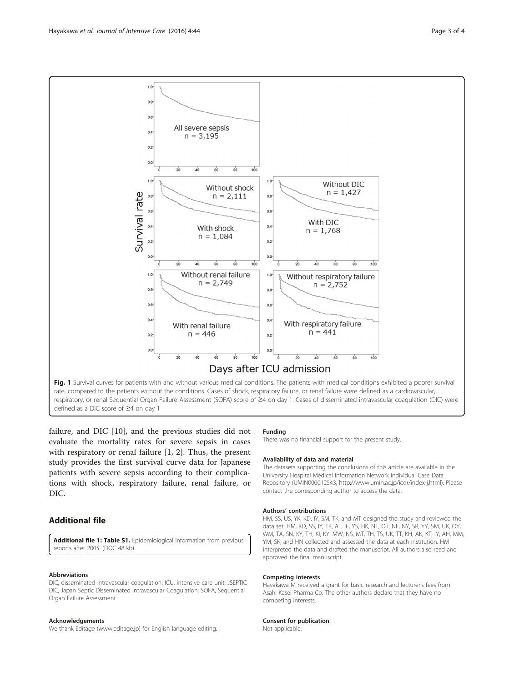<span id="page-2-0"></span>

failure, and DIC [[10](#page-3-0)], and the previous studies did not evaluate the mortality rates for severe sepsis in cases with respiratory or renal failure [[1, 2\]](#page-3-0). Thus, the present study provides the first survival curve data for Japanese patients with severe sepsis according to their complications with shock, respiratory failure, renal failure, or DIC.

## Additional file

[Additional file 1: Table S1.](dx.doi.org/10.1186/s40560-016-0169-9) Epidemiological information from previous reports after 2005. (DOC 48 kb)

#### Abbreviations

DIC, disseminated intravascular coagulation; ICU, intensive care unit; JSEPTIC DIC, Japan Septic Disseminated Intravascular Coagulation; SOFA, Sequential Organ Failure Assessment

#### Acknowledgements

We thank Editage [\(www.editage.jp](http://www.editage.jp/)) for English language editing.

#### Funding

There was no financial support for the present study.

#### Availability of data and material

The datasets supporting the conclusions of this article are available in the University Hospital Medical Information Network Individual Case Data Repository (UMIN000012543,<http://www.umin.ac.jp/icdr/index-j.html>). Please contact the corresponding author to access the data.

#### Authors' contributions

HM, SS, US, YK, KD, IY, SM, TK, and MT designed the study and reviewed the data set. HM, KD, SS, IY, TK, AT, IF, YS, HK, NT, OT, NE, NY, SR, YY, SM, UK, OY, WM, TA, SN, KY, TH, KI, KY, MW, NS, MT, TH, TS, UK, TT, KH, AK, KT, IY, AH, MM, YM, SK, and HN collected and assessed the data at each institution. HM interpreted the data and drafted the manuscript. All authors also read and approved the final manuscript.

#### Competing interests

Hayakawa M received a grant for basic research and lecturer's fees from Asahi Kasei Pharma Co. The other authors declare that they have no competing interests.

#### Consent for publication

Not applicable.